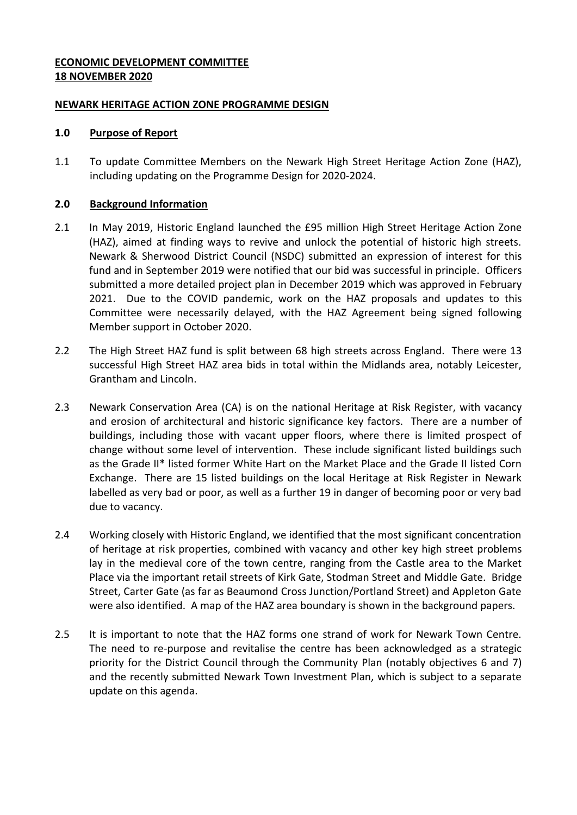### **ECONOMIC DEVELOPMENT COMMITTEE 18 NOVEMBER 2020**

#### **NEWARK HERITAGE ACTION ZONE PROGRAMME DESIGN**

### **1.0 Purpose of Report**

1.1 To update Committee Members on the Newark High Street Heritage Action Zone (HAZ), including updating on the Programme Design for 2020-2024.

### **2.0 Background Information**

- 2.1 In May 2019, Historic England launched the £95 million High Street Heritage Action Zone (HAZ), aimed at finding ways to revive and unlock the potential of historic high streets. Newark & Sherwood District Council (NSDC) submitted an expression of interest for this fund and in September 2019 were notified that our bid was successful in principle. Officers submitted a more detailed project plan in December 2019 which was approved in February 2021. Due to the COVID pandemic, work on the HAZ proposals and updates to this Committee were necessarily delayed, with the HAZ Agreement being signed following Member support in October 2020.
- 2.2 The High Street HAZ fund is split between 68 high streets across England. There were 13 successful High Street HAZ area bids in total within the Midlands area, notably Leicester, Grantham and Lincoln.
- 2.3 Newark Conservation Area (CA) is on the national Heritage at Risk Register, with vacancy and erosion of architectural and historic significance key factors. There are a number of buildings, including those with vacant upper floors, where there is limited prospect of change without some level of intervention. These include significant listed buildings such as the Grade II\* listed former White Hart on the Market Place and the Grade II listed Corn Exchange. There are 15 listed buildings on the local Heritage at Risk Register in Newark labelled as very bad or poor, as well as a further 19 in danger of becoming poor or very bad due to vacancy.
- 2.4 Working closely with Historic England, we identified that the most significant concentration of heritage at risk properties, combined with vacancy and other key high street problems lay in the medieval core of the town centre, ranging from the Castle area to the Market Place via the important retail streets of Kirk Gate, Stodman Street and Middle Gate. Bridge Street, Carter Gate (as far as Beaumond Cross Junction/Portland Street) and Appleton Gate were also identified. A map of the HAZ area boundary is shown in the background papers.
- 2.5 It is important to note that the HAZ forms one strand of work for Newark Town Centre. The need to re-purpose and revitalise the centre has been acknowledged as a strategic priority for the District Council through the Community Plan (notably objectives 6 and 7) and the recently submitted Newark Town Investment Plan, which is subject to a separate update on this agenda.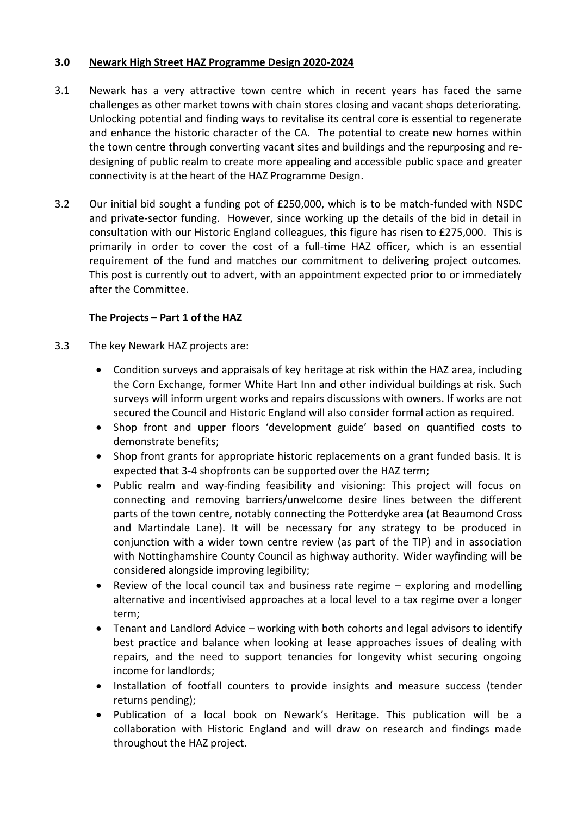### **3.0 Newark High Street HAZ Programme Design 2020-2024**

- 3.1 Newark has a very attractive town centre which in recent years has faced the same challenges as other market towns with chain stores closing and vacant shops deteriorating. Unlocking potential and finding ways to revitalise its central core is essential to regenerate and enhance the historic character of the CA. The potential to create new homes within the town centre through converting vacant sites and buildings and the repurposing and redesigning of public realm to create more appealing and accessible public space and greater connectivity is at the heart of the HAZ Programme Design.
- 3.2 Our initial bid sought a funding pot of £250,000, which is to be match-funded with NSDC and private-sector funding. However, since working up the details of the bid in detail in consultation with our Historic England colleagues, this figure has risen to £275,000. This is primarily in order to cover the cost of a full-time HAZ officer, which is an essential requirement of the fund and matches our commitment to delivering project outcomes. This post is currently out to advert, with an appointment expected prior to or immediately after the Committee.

# **The Projects – Part 1 of the HAZ**

- 3.3 The key Newark HAZ projects are:
	- Condition surveys and appraisals of key heritage at risk within the HAZ area, including the Corn Exchange, former White Hart Inn and other individual buildings at risk. Such surveys will inform urgent works and repairs discussions with owners. If works are not secured the Council and Historic England will also consider formal action as required.
	- Shop front and upper floors 'development guide' based on quantified costs to demonstrate benefits;
	- Shop front grants for appropriate historic replacements on a grant funded basis. It is expected that 3-4 shopfronts can be supported over the HAZ term;
	- Public realm and way-finding feasibility and visioning: This project will focus on connecting and removing barriers/unwelcome desire lines between the different parts of the town centre, notably connecting the Potterdyke area (at Beaumond Cross and Martindale Lane). It will be necessary for any strategy to be produced in conjunction with a wider town centre review (as part of the TIP) and in association with Nottinghamshire County Council as highway authority. Wider wayfinding will be considered alongside improving legibility;
	- Review of the local council tax and business rate regime exploring and modelling alternative and incentivised approaches at a local level to a tax regime over a longer term;
	- Tenant and Landlord Advice working with both cohorts and legal advisors to identify best practice and balance when looking at lease approaches issues of dealing with repairs, and the need to support tenancies for longevity whist securing ongoing income for landlords;
	- Installation of footfall counters to provide insights and measure success (tender returns pending);
	- Publication of a local book on Newark's Heritage. This publication will be a collaboration with Historic England and will draw on research and findings made throughout the HAZ project.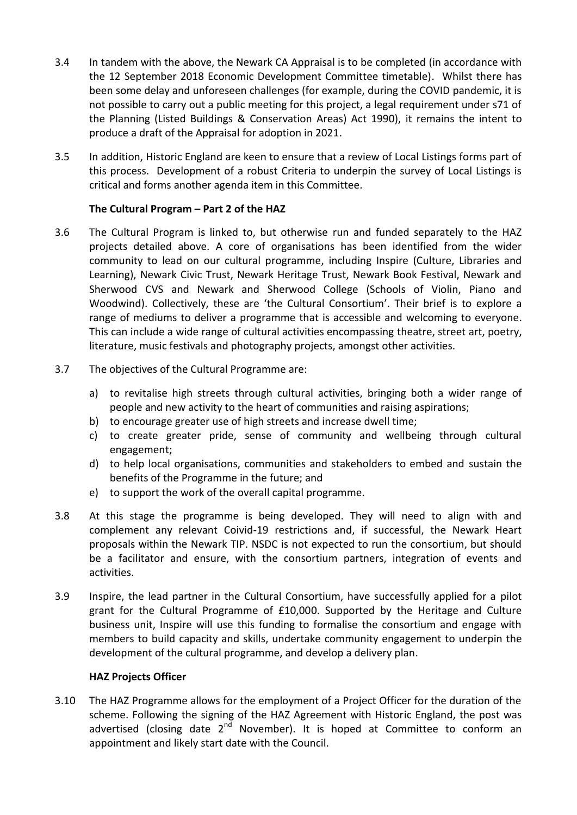- 3.4 In tandem with the above, the Newark CA Appraisal is to be completed (in accordance with the 12 September 2018 Economic Development Committee timetable). Whilst there has been some delay and unforeseen challenges (for example, during the COVID pandemic, it is not possible to carry out a public meeting for this project, a legal requirement under s71 of the Planning (Listed Buildings & Conservation Areas) Act 1990), it remains the intent to produce a draft of the Appraisal for adoption in 2021.
- 3.5 In addition, Historic England are keen to ensure that a review of Local Listings forms part of this process. Development of a robust Criteria to underpin the survey of Local Listings is critical and forms another agenda item in this Committee.

# **The Cultural Program – Part 2 of the HAZ**

- 3.6 The Cultural Program is linked to, but otherwise run and funded separately to the HAZ projects detailed above. A core of organisations has been identified from the wider community to lead on our cultural programme, including Inspire (Culture, Libraries and Learning), Newark Civic Trust, Newark Heritage Trust, Newark Book Festival, Newark and Sherwood CVS and Newark and Sherwood College (Schools of Violin, Piano and Woodwind). Collectively, these are 'the Cultural Consortium'. Their brief is to explore a range of mediums to deliver a programme that is accessible and welcoming to everyone. This can include a wide range of cultural activities encompassing theatre, street art, poetry, literature, music festivals and photography projects, amongst other activities.
- 3.7 The objectives of the Cultural Programme are:
	- a) to revitalise high streets through cultural activities, bringing both a wider range of people and new activity to the heart of communities and raising aspirations;
	- b) to encourage greater use of high streets and increase dwell time;
	- c) to create greater pride, sense of community and wellbeing through cultural engagement;
	- d) to help local organisations, communities and stakeholders to embed and sustain the benefits of the Programme in the future; and
	- e) to support the work of the overall capital programme.
- 3.8 At this stage the programme is being developed. They will need to align with and complement any relevant Coivid-19 restrictions and, if successful, the Newark Heart proposals within the Newark TIP. NSDC is not expected to run the consortium, but should be a facilitator and ensure, with the consortium partners, integration of events and activities.
- 3.9 Inspire, the lead partner in the Cultural Consortium, have successfully applied for a pilot grant for the Cultural Programme of £10,000. Supported by the Heritage and Culture business unit, Inspire will use this funding to formalise the consortium and engage with members to build capacity and skills, undertake community engagement to underpin the development of the cultural programme, and develop a delivery plan.

#### **HAZ Projects Officer**

3.10 The HAZ Programme allows for the employment of a Project Officer for the duration of the scheme. Following the signing of the HAZ Agreement with Historic England, the post was advertised (closing date  $2^{nd}$  November). It is hoped at Committee to conform an appointment and likely start date with the Council.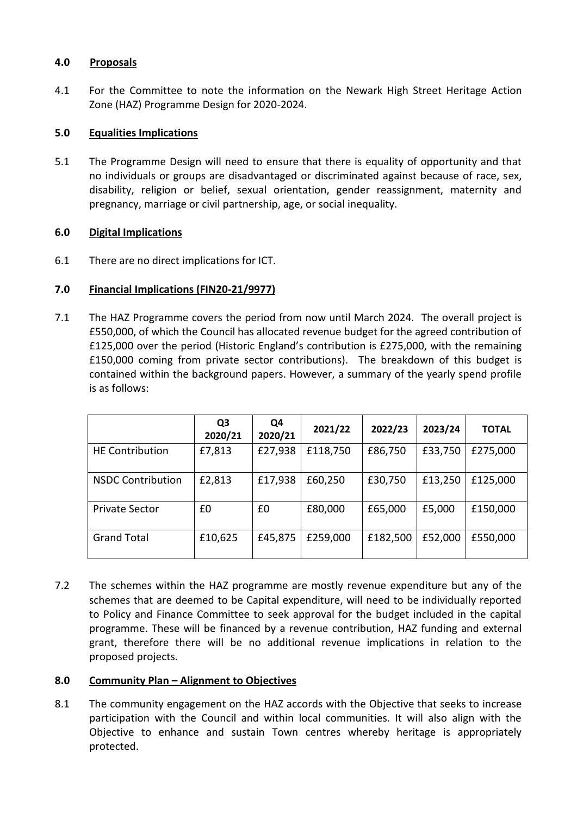### **4.0 Proposals**

4.1 For the Committee to note the information on the Newark High Street Heritage Action Zone (HAZ) Programme Design for 2020-2024.

# **5.0 Equalities Implications**

5.1 The Programme Design will need to ensure that there is equality of opportunity and that no individuals or groups are disadvantaged or discriminated against because of race, sex, disability, religion or belief, sexual orientation, gender reassignment, maternity and pregnancy, marriage or civil partnership, age, or social inequality.

# **6.0 Digital Implications**

6.1 There are no direct implications for ICT.

# **7.0 Financial Implications (FIN20-21/9977)**

7.1 The HAZ Programme covers the period from now until March 2024. The overall project is £550,000, of which the Council has allocated revenue budget for the agreed contribution of £125,000 over the period (Historic England's contribution is £275,000, with the remaining £150,000 coming from private sector contributions). The breakdown of this budget is contained within the background papers. However, a summary of the yearly spend profile is as follows:

|                          | Q3<br>2020/21 | Q4<br>2020/21 | 2021/22  | 2022/23  | 2023/24 | <b>TOTAL</b> |
|--------------------------|---------------|---------------|----------|----------|---------|--------------|
| <b>HE Contribution</b>   | £7,813        | £27,938       | £118,750 | £86,750  | £33,750 | £275,000     |
| <b>NSDC Contribution</b> | £2,813        | £17,938       | £60,250  | £30,750  | £13,250 | £125,000     |
| <b>Private Sector</b>    | £0            | £0            | £80,000  | £65,000  | £5,000  | £150,000     |
| <b>Grand Total</b>       | £10,625       | £45,875       | £259,000 | £182,500 | £52,000 | £550,000     |

7.2 The schemes within the HAZ programme are mostly revenue expenditure but any of the schemes that are deemed to be Capital expenditure, will need to be individually reported to Policy and Finance Committee to seek approval for the budget included in the capital programme. These will be financed by a revenue contribution, HAZ funding and external grant, therefore there will be no additional revenue implications in relation to the proposed projects.

# **8.0 Community Plan – Alignment to Objectives**

8.1 The community engagement on the HAZ accords with the Objective that seeks to increase participation with the Council and within local communities. It will also align with the Objective to enhance and sustain Town centres whereby heritage is appropriately protected.